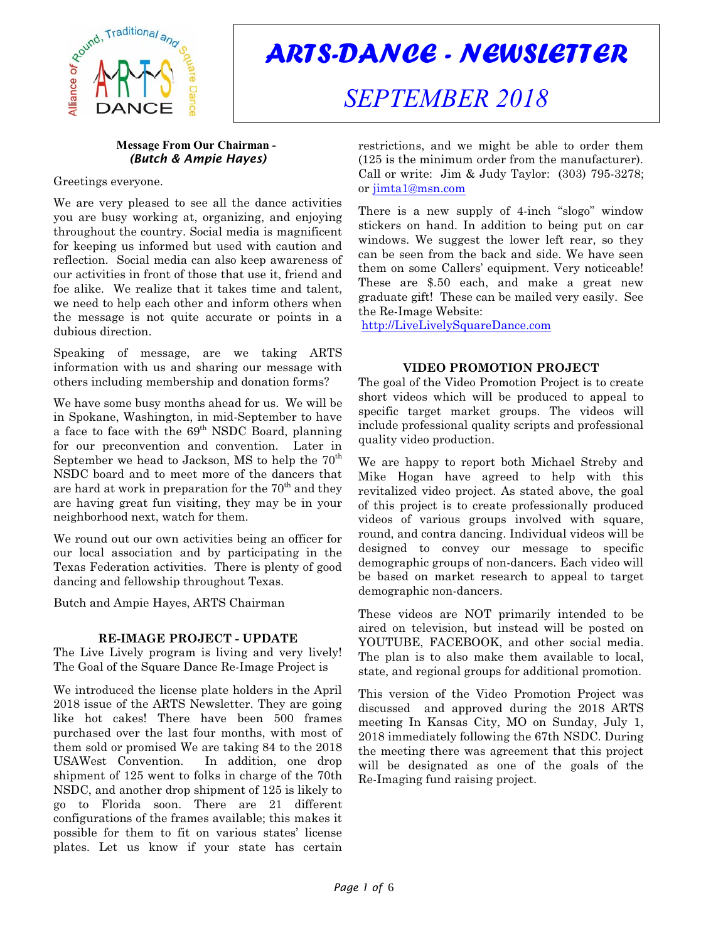

# *ARTS-DANCE - NEWSLETTER*

## *SEPTEMBER 2018*

#### **Message From Our Chairman -**  *(Butch & Ampie Hayes)*

Greetings everyone.

We are very pleased to see all the dance activities you are busy working at, organizing, and enjoying throughout the country. Social media is magnificent for keeping us informed but used with caution and reflection. Social media can also keep awareness of our activities in front of those that use it, friend and foe alike. We realize that it takes time and talent, we need to help each other and inform others when the message is not quite accurate or points in a dubious direction.

Speaking of message, are we taking ARTS information with us and sharing our message with others including membership and donation forms?

We have some busy months ahead for us. We will be in Spokane, Washington, in mid-September to have a face to face with the  $69<sup>th</sup>$  NSDC Board, planning for our preconvention and convention. Later in September we head to Jackson, MS to help the  $70<sup>th</sup>$ NSDC board and to meet more of the dancers that are hard at work in preparation for the  $70<sup>th</sup>$  and they are having great fun visiting, they may be in your neighborhood next, watch for them.

We round out our own activities being an officer for our local association and by participating in the Texas Federation activities. There is plenty of good dancing and fellowship throughout Texas.

Butch and Ampie Hayes, ARTS Chairman

### **RE-IMAGE PROJECT - UPDATE**

The Live Lively program is living and very lively! The Goal of the Square Dance Re-Image Project is

We introduced the license plate holders in the April 2018 issue of the ARTS Newsletter. They are going like hot cakes! There have been 500 frames purchased over the last four months, with most of them sold or promised We are taking 84 to the 2018 USAWest Convention. In addition, one drop shipment of 125 went to folks in charge of the 70th NSDC, and another drop shipment of 125 is likely to go to Florida soon. There are 21 different configurations of the frames available; this makes it possible for them to fit on various states' license plates. Let us know if your state has certain

restrictions, and we might be able to order them (125 is the minimum order from the manufacturer). Call or write: Jim & Judy Taylor: (303) 795-3278; or [jimta1@msn.com](mailto:jimta1@msn.com)

There is a new supply of 4-inch "slogo" window stickers on hand. In addition to being put on car windows. We suggest the lower left rear, so they can be seen from the back and side. We have seen them on some Callers' equipment. Very noticeable! These are \$.50 each, and make a great new graduate gift! These can be mailed very easily. See the Re-Image Website:

<http://LiveLivelySquareDance.com>

#### **VIDEO PROMOTION PROJECT**

The goal of the Video Promotion Project is to create short videos which will be produced to appeal to specific target market groups. The videos will include professional quality scripts and professional quality video production.

We are happy to report both Michael Streby and Mike Hogan have agreed to help with this revitalized video project. As stated above, the goal of this project is to create professionally produced videos of various groups involved with square, round, and contra dancing. Individual videos will be designed to convey our message to specific demographic groups of non-dancers. Each video will be based on market research to appeal to target demographic non-dancers.

These videos are NOT primarily intended to be aired on television, but instead will be posted on YOUTUBE, FACEBOOK, and other social media. The plan is to also make them available to local, state, and regional groups for additional promotion.

This version of the Video Promotion Project was discussed and approved during the 2018 ARTS meeting In Kansas City, MO on Sunday, July 1, 2018 immediately following the 67th NSDC. During the meeting there was agreement that this project will be designated as one of the goals of the Re-Imaging fund raising project.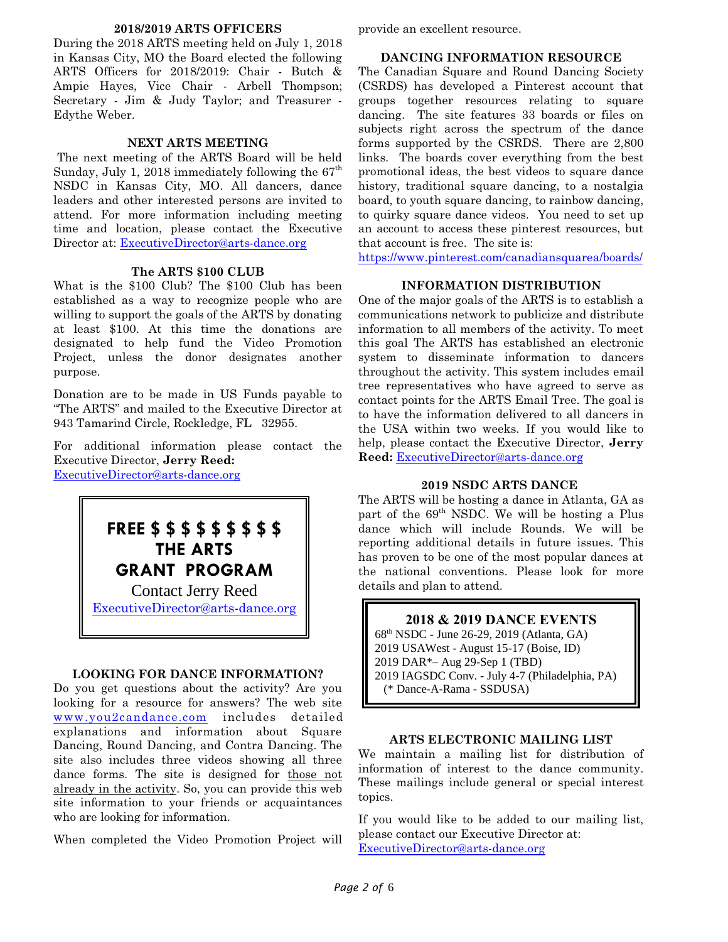#### **2018/2019 ARTS OFFICERS**

During the 2018 ARTS meeting held on July 1, 2018 in Kansas City, MO the Board elected the following ARTS Officers for 2018/2019: Chair - Butch & Ampie Hayes, Vice Chair - Arbell Thompson; Secretary - Jim & Judy Taylor; and Treasurer - Edythe Weber.

#### **NEXT ARTS MEETING**

The next meeting of the ARTS Board will be held Sunday, July 1, 2018 immediately following the  $67<sup>th</sup>$ NSDC in Kansas City, MO. All dancers, dance leaders and other interested persons are invited to attend. For more information including meeting time and location, please contact the Executive Director at: [ExecutiveDirector@arts-dance.org](mailto:ExecutiveDirector@arts-dance.org)

#### **The ARTS \$100 CLUB**

What is the \$100 Club? The \$100 Club has been established as a way to recognize people who are willing to support the goals of the ARTS by donating at least \$100. At this time the donations are designated to help fund the Video Promotion Project, unless the donor designates another purpose.

Donation are to be made in US Funds payable to "The ARTS" and mailed to the Executive Director at 943 Tamarind Circle, Rockledge, FL 32955.

For additional information please contact the Executive Director, **Jerry Reed:**

[ExecutiveDirector@arts-dance.org](mailto:at:ExecutiveDirector@arts-dance.org)



#### **LOOKING FOR DANCE INFORMATION?**

Do you get questions about the activity? Are you looking for a resource for answers? The web site [www.you2candance.com](http://www.you2candance.com) includes detailed explanations and information about Square Dancing, Round Dancing, and Contra Dancing. The site also includes three videos showing all three dance forms. The site is designed for those not already in the activity. So, you can provide this web site information to your friends or acquaintances who are looking for information.

When completed the Video Promotion Project will

provide an excellent resource.

#### **DANCING INFORMATION RESOURCE**

The Canadian Square and Round Dancing Society (CSRDS) has developed a Pinterest account that groups together resources relating to square dancing. The site features 33 boards or files on subjects right across the spectrum of the dance forms supported by the CSRDS. There are 2,800 links. The boards cover everything from the best promotional ideas, the best videos to square dance history, traditional square dancing, to a nostalgia board, to youth square dancing, to rainbow dancing, to quirky square dance videos. You need to set up an account to access these pinterest resources, but that account is free. The site is:

<https://www.pinterest.com/canadiansquarea/boards/>

#### **INFORMATION DISTRIBUTION**

One of the major goals of the ARTS is to establish a communications network to publicize and distribute information to all members of the activity. To meet this goal The ARTS has established an electronic system to disseminate information to dancers throughout the activity. This system includes email tree representatives who have agreed to serve as contact points for the ARTS Email Tree. The goal is to have the information delivered to all dancers in the USA within two weeks. If you would like to help, please contact the Executive Director, **Jerry Reed:** [ExecutiveDirector@arts-dance.org](mailto:at:ExecutiveDirector@arts-dance.org)

#### **2019 NSDC ARTS DANCE**

The ARTS will be hosting a dance in Atlanta, GA as part of the  $69<sup>th</sup>$  NSDC. We will be hosting a Plus dance which will include Rounds. We will be reporting additional details in future issues. This has proven to be one of the most popular dances at the national conventions. Please look for more details and plan to attend.

#### **2018 & 2019 DANCE EVENTS**

68th NSDC - June 26-29, 2019 (Atlanta, GA) 2019 USAWest - August 15-17 (Boise, ID) 2019 DAR\*– Aug 29-Sep 1 (TBD) 2019 IAGSDC Conv. - July 4-7 (Philadelphia, PA) (\* Dance-A-Rama - SSDUSA)

#### **ARTS ELECTRONIC MAILING LIST**

We maintain a mailing list for distribution of information of interest to the dance community. These mailings include general or special interest topics.

If you would like to be added to our mailing list, please contact our Executive Director at: [ExecutiveDirector@arts-dance.org](mailto:ExecutiveDirector@arts-dance.org)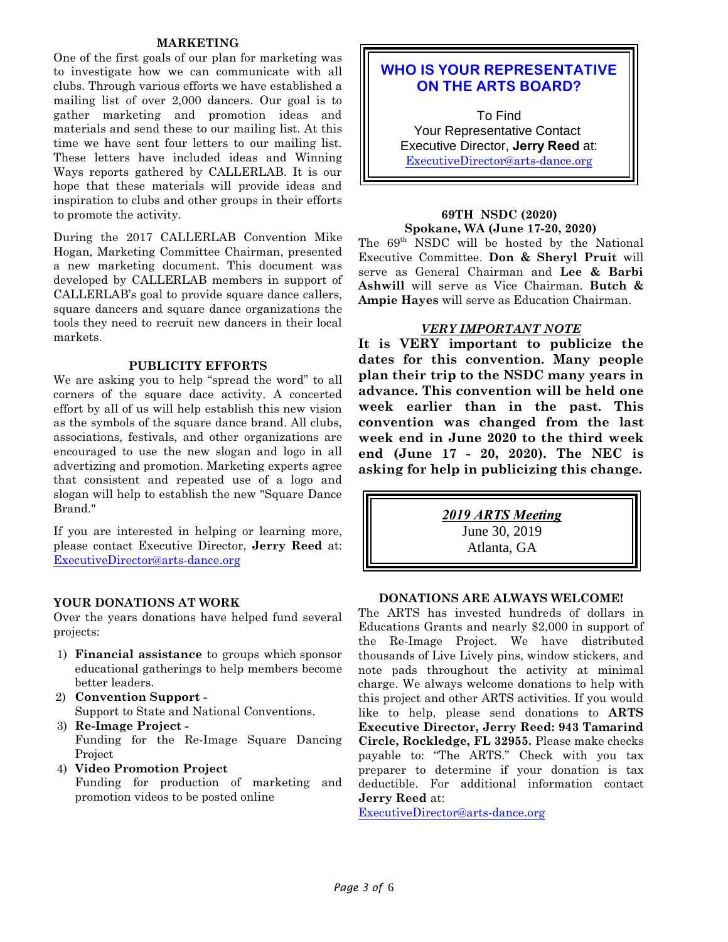#### **MARKETING**

One of the first goals of our plan for marketing was to investigate how we can communicate with all clubs. Through various efforts we have established a mailing list of over 2,000 dancers. Our goal is to gather marketing and promotion ideas and materials and send these to our mailing list. At this time we have sent four letters to our mailing list. These letters have included ideas and Winning Ways reports gathered by CALLERLAB. It is our hope that these materials will provide ideas and inspiration to clubs and other groups in their efforts to promote the activity.

During the 2017 CALLERLAB Convention Mike Hogan, Marketing Committee Chairman, presented a new marketing document. This document was developed by CALLERLAB members in support of CALLERLAB's goal to provide square dance callers, square dancers and square dance organizations the tools they need to recruit new dancers in their local markets.

#### **PUBLICITY EFFORTS**

We are asking you to help "spread the word" to all corners of the square dace activity. A concerted effort by all of us will help establish this new vision as the symbols of the square dance brand. All clubs, associations, festivals, and other organizations are encouraged to use the new slogan and logo in all advertizing and promotion. Marketing experts agree that consistent and repeated use of a logo and slogan will help to establish the new "Square Dance Brand."

If you are interested in helping or learning more, please contact Executive Director, **Jerry Reed** at: [ExecutiveDirector@arts-dance.org](mailto:ExecutiveDirector@arts-dance.org)

#### **YOUR DONATIONS AT WORK**

Over the years donations have helped fund several projects:

- 1) **Financial assistance** to groups which sponsor educational gatherings to help members become better leaders.
- 2) **Convention Support -** Support to State and National Conventions.
- 3) **Re-Image Project -** Funding for the Re-Image Square Dancing Project
- 4) **Video Promotion Project** Funding for production of marketing and promotion videos to be posted online

## **WHO IS YOUR REPRESENTATIVE ON THE ARTS BOARD?**

 To Find Your Representative Contact Executive Director, **Jerry Reed** at: [ExecutiveDirector@arts-dance.org](mailto:ExecutiveDirector@arts-dance.org)

## **69TH NSDC (2020)**

**Spokane, WA (June 17-20, 2020)** The 69<sup>th</sup> NSDC will be hosted by the National Executive Committee. **Don & Sheryl Pruit** will serve as General Chairman and **Lee & Barbi Ashwill** will serve as Vice Chairman. **Butch & Ampie Hayes** will serve as Education Chairman.

#### *VERY IMPORTANT NOTE*

**It is VERY important to publicize the dates for this convention. Many people plan their trip to the NSDC many years in advance. This convention will be held one week earlier than in the past. This convention was changed from the last week end in June 2020 to the third week end (June 17 - 20, 2020). The NEC is asking for help in publicizing this change.**

*2019 ARTS Meeting* June 30, 2019 Atlanta, GA

#### **DONATIONS ARE ALWAYS WELCOME!**

The ARTS has invested hundreds of dollars in Educations Grants and nearly \$2,000 in support of the Re-Image Project. We have distributed thousands of Live Lively pins, window stickers, and note pads throughout the activity at minimal charge. We always welcome donations to help with this project and other ARTS activities. If you would like to help, please send donations to **ARTS Executive Director, Jerry Reed: 943 Tamarind Circle, Rockledge, FL 32955.** Please make checks payable to: "The ARTS." Check with you tax preparer to determine if your donation is tax deductible. For additional information contact **Jerry Reed** at:

[ExecutiveDirector@arts-dance.org](mailto:ExecutiveDirector@arts-dance.org)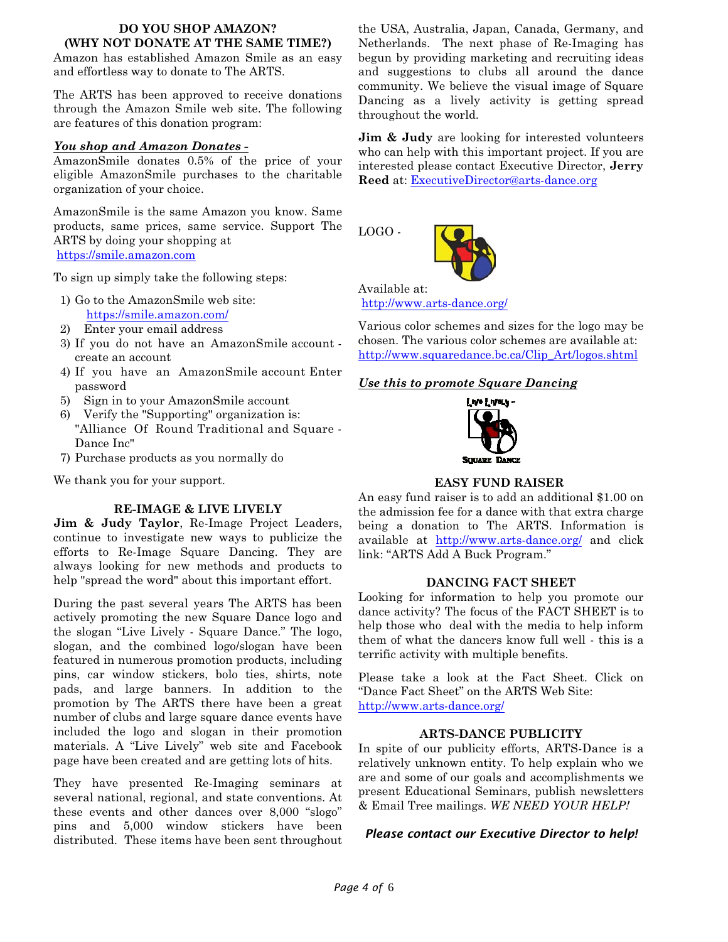#### **DO YOU SHOP AMAZON? (WHY NOT DONATE AT THE SAME TIME?)**

Amazon has established Amazon Smile as an easy and effortless way to donate to The ARTS.

The ARTS has been approved to receive donations through the Amazon Smile web site. The following are features of this donation program:

#### *You shop and Amazon Donates -*

AmazonSmile donates 0.5% of the price of your eligible AmazonSmile purchases to the charitable organization of your choice.

AmazonSmile is the same Amazon you know. Same products, same prices, same service. Support The ARTS by doing your shopping at <https://smile.amazon.com>

To sign up simply take the following steps:

- 1) Go to the AmazonSmile web site: <https://smile.amazon.com/>
- 2) Enter your email address
- 3) If you do not have an AmazonSmile account create an account
- 4) If you have an AmazonSmile account Enter password
- 5) Sign in to your AmazonSmile account
- 6) Verify the "Supporting" organization is: "Alliance Of Round Traditional and Square - Dance Inc"
- 7) Purchase products as you normally do

We thank you for your support.

#### **RE-IMAGE & LIVE LIVELY**

**Jim & Judy Taylor**, Re-Image Project Leaders, continue to investigate new ways to publicize the efforts to Re-Image Square Dancing. They are always looking for new methods and products to help "spread the word" about this important effort.

During the past several years The ARTS has been actively promoting the new Square Dance logo and the slogan "Live Lively - Square Dance." The logo, slogan, and the combined logo/slogan have been featured in numerous promotion products, including pins, car window stickers, bolo ties, shirts, note pads, and large banners. In addition to the promotion by The ARTS there have been a great number of clubs and large square dance events have included the logo and slogan in their promotion materials. A "Live Lively" web site and Facebook page have been created and are getting lots of hits.

They have presented Re-Imaging seminars at several national, regional, and state conventions. At these events and other dances over 8,000 "slogo" pins and 5,000 window stickers have been distributed. These items have been sent throughout

the USA, Australia, Japan, Canada, Germany, and Netherlands. The next phase of Re-Imaging has begun by providing marketing and recruiting ideas and suggestions to clubs all around the dance community. We believe the visual image of Square Dancing as a lively activity is getting spread throughout the world.

**Jim & Judy** are looking for interested volunteers who can help with this important project. If you are interested please contact Executive Director, **Jerry Reed** at: [ExecutiveDirector@arts-dance.org](mailto:ExecutiveDirector@arts-dance.org)

LOGO -

Available at: <http://www.arts-dance.org/>

Various color schemes and sizes for the logo may be chosen. The various color schemes are available at: [http://www.squaredance.bc.ca/Clip\\_Art/logos.shtml](http://www.squaredance.bc.ca/Clip_Art/logos.shtml)

#### *Use this to promote Square Dancing*



#### **EASY FUND RAISER**

An easy fund raiser is to add an additional \$1.00 on the admission fee for a dance with that extra charge being a donation to The ARTS. Information is available at [http://www.arts-dance.org/]((http://www.arts-dance.org/) and click link: "ARTS Add A Buck Program."

#### **DANCING FACT SHEET**

Looking for information to help you promote our dance activity? The focus of the FACT SHEET is to help those who deal with the media to help inform them of what the dancers know full well - this is a terrific activity with multiple benefits.

Please take a look at the Fact Sheet. Click on "Dance Fact Sheet" on the ARTS Web Site: <http://www.arts-dance.org/>

#### **ARTS-DANCE PUBLICITY**

In spite of our publicity efforts, ARTS-Dance is a relatively unknown entity. To help explain who we are and some of our goals and accomplishments we present Educational Seminars, publish newsletters & Email Tree mailings. *WE NEED YOUR HELP!*

#### *Please contact our Executive Director to help!*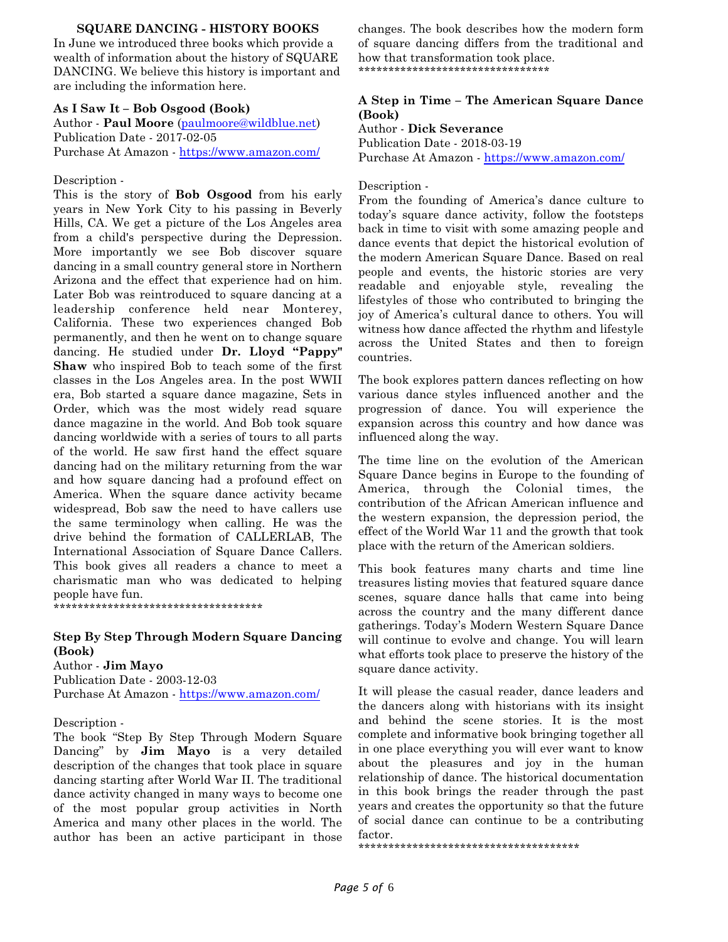#### **SQUARE DANCING - HISTORY BOOKS**

In June we introduced three books which provide a wealth of information about the history of SQUARE DANCING. We believe this history is important and are including the information here.

#### **As I Saw It – Bob Osgood (Book)**

Author - **Paul Moore** [\(paulmoore@wildblue.net](mailto:paulmoore@wildblue.net)) Publication Date - 2017-02-05 Purchase At Amazon -<https://www.amazon.com/>

Description -

This is the story of **Bob Osgood** from his early years in New York City to his passing in Beverly Hills, CA. We get a picture of the Los Angeles area from a child's perspective during the Depression. More importantly we see Bob discover square dancing in a small country general store in Northern Arizona and the effect that experience had on him. Later Bob was reintroduced to square dancing at a leadership conference held near Monterey, California. These two experiences changed Bob permanently, and then he went on to change square dancing. He studied under **Dr. Lloyd "Pappy" Shaw** who inspired Bob to teach some of the first classes in the Los Angeles area. In the post WWII era, Bob started a square dance magazine, Sets in Order, which was the most widely read square dance magazine in the world. And Bob took square dancing worldwide with a series of tours to all parts of the world. He saw first hand the effect square dancing had on the military returning from the war and how square dancing had a profound effect on America. When the square dance activity became widespread, Bob saw the need to have callers use the same terminology when calling. He was the drive behind the formation of CALLERLAB, The International Association of Square Dance Callers. This book gives all readers a chance to meet a charismatic man who was dedicated to helping people have fun.

\*\*\*\*\*\*\*\*\*\*\*\*\*\*\*\*\*\*\*\*\*\*\*\*\*\*\*\*\*\*\*\*\*\*\*

#### **Step By Step Through Modern Square Dancing (Book)**

Author - **Jim Mayo**

Publication Date - 2003-12-03 Purchase At Amazon -<https://www.amazon.com/>

Description -

The book "Step By Step Through Modern Square Dancing" by **Jim Mayo** is a very detailed description of the changes that took place in square dancing starting after World War II. The traditional dance activity changed in many ways to become one of the most popular group activities in North America and many other places in the world. The author has been an active participant in those

changes. The book describes how the modern form of square dancing differs from the traditional and how that transformation took place. \*\*\*\*\*\*\*\*\*\*\*\*\*\*\*\*\*\*\*\*\*\*\*\*\*\*\*\*\*\*\*\*

#### **A Step in Time – The American Square Dance (Book)**

Author - **Dick Severance** Publication Date - 2018-03-19 Purchase At Amazon -<https://www.amazon.com/>

#### Description -

From the founding of America's dance culture to today's square dance activity, follow the footsteps back in time to visit with some amazing people and dance events that depict the historical evolution of the modern American Square Dance. Based on real people and events, the historic stories are very readable and enjoyable style, revealing the lifestyles of those who contributed to bringing the joy of America's cultural dance to others. You will witness how dance affected the rhythm and lifestyle across the United States and then to foreign countries.

The book explores pattern dances reflecting on how various dance styles influenced another and the progression of dance. You will experience the expansion across this country and how dance was influenced along the way.

The time line on the evolution of the American Square Dance begins in Europe to the founding of America, through the Colonial times, the contribution of the African American influence and the western expansion, the depression period, the effect of the World War 11 and the growth that took place with the return of the American soldiers.

This book features many charts and time line treasures listing movies that featured square dance scenes, square dance halls that came into being across the country and the many different dance gatherings. Today's Modern Western Square Dance will continue to evolve and change. You will learn what efforts took place to preserve the history of the square dance activity.

It will please the casual reader, dance leaders and the dancers along with historians with its insight and behind the scene stories. It is the most complete and informative book bringing together all in one place everything you will ever want to know about the pleasures and joy in the human relationship of dance. The historical documentation in this book brings the reader through the past years and creates the opportunity so that the future of social dance can continue to be a contributing factor.

\*\*\*\*\*\*\*\*\*\*\*\*\*\*\*\*\*\*\*\*\*\*\*\*\*\*\*\*\*\*\*\*\*\*\*\*\*